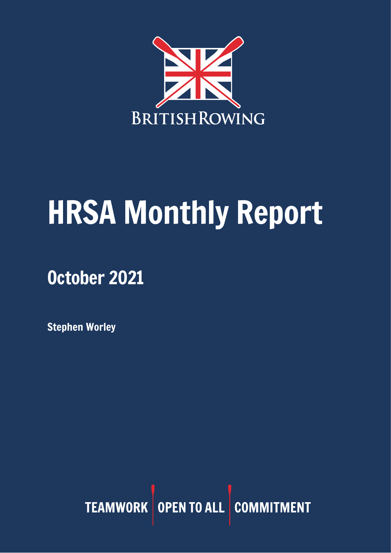

# HRSA Monthly Report

## October 2021

Stephen Worley

TEAMWORK OPEN TO ALL COMMITMENT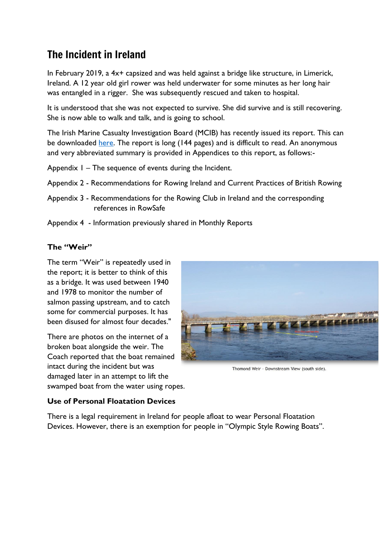## The Incident in Ireland

In February 2019, a 4x+ capsized and was held against a bridge like structure, in Limerick, Ireland. A 12 year old girl rower was held underwater for some minutes as her long hair was entangled in a rigger. She was subsequently rescued and taken to hospital.

It is understood that she was not expected to survive. She did survive and is still recovering. She is now able to walk and talk, and is going to school.

The Irish Marine Casualty Investigation Board (MCIB) has recently issued its report. This can be downloaded [here.](https://www.mcib.ie/reports.7.html?r=258) The report is long (144 pages) and is difficult to read. An anonymous and very abbreviated summary is provided in Appendices to this report, as follows:-

- Appendix 1 The sequence of events during the Incident.
- Appendix 2 Recommendations for Rowing Ireland and Current Practices of British Rowing
- Appendix 3 Recommendations for the Rowing Club in Ireland and the corresponding references in RowSafe
- Appendix 4 Information previously shared in Monthly Reports

#### **The "Weir"**

The term "Weir" is repeatedly used in the report; it is better to think of this as a bridge. It was used between 1940 and 1978 to monitor the number of salmon passing upstream, and to catch some for commercial purposes. It has been disused for almost four decades."

There are photos on the internet of a broken boat alongside the weir. The Coach reported that the boat remained intact during the incident but was damaged later in an attempt to lift the swamped boat from the water using ropes.



Thomond Weir - Downstream View (south side)

#### **Use of Personal Floatation Devices**

There is a legal requirement in Ireland for people afloat to wear Personal Floatation Devices. However, there is an exemption for people in "Olympic Style Rowing Boats".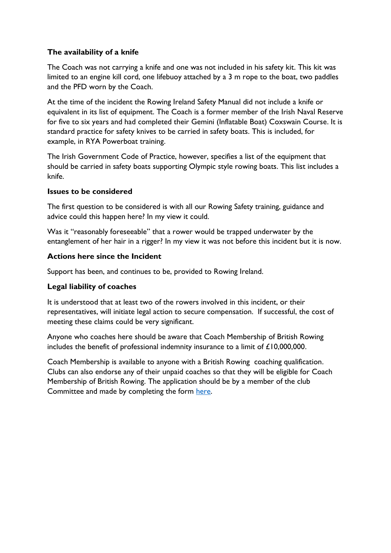#### **The availability of a knife**

The Coach was not carrying a knife and one was not included in his safety kit. This kit was limited to an engine kill cord, one lifebuoy attached by a 3 m rope to the boat, two paddles and the PFD worn by the Coach.

At the time of the incident the Rowing Ireland Safety Manual did not include a knife or equivalent in its list of equipment. The Coach is a former member of the Irish Naval Reserve for five to six years and had completed their Gemini (Inflatable Boat) Coxswain Course. It is standard practice for safety knives to be carried in safety boats. This is included, for example, in RYA Powerboat training.

The Irish Government Code of Practice, however, specifies a list of the equipment that should be carried in safety boats supporting Olympic style rowing boats. This list includes a knife.

#### **Issues to be considered**

The first question to be considered is with all our Rowing Safety training, guidance and advice could this happen here? In my view it could.

Was it "reasonably foreseeable" that a rower would be trapped underwater by the entanglement of her hair in a rigger? In my view it was not before this incident but it is now.

#### **Actions here since the Incident**

Support has been, and continues to be, provided to Rowing Ireland.

#### **Legal liability of coaches**

It is understood that at least two of the rowers involved in this incident, or their representatives, will initiate legal action to secure compensation. If successful, the cost of meeting these claims could be very significant.

Anyone who coaches here should be aware that Coach Membership of British Rowing includes the benefit of professional indemnity insurance to a limit of £10,000,000.

Coach Membership is available to anyone with a British Rowing coaching qualification. Clubs can also endorse any of their unpaid coaches so that they will be eligible for Coach Membership of British Rowing. The application should be by a member of the club Committee and made by completing the form [here.](https://forms.gle/YdNzpjgn7q1Kws2K7)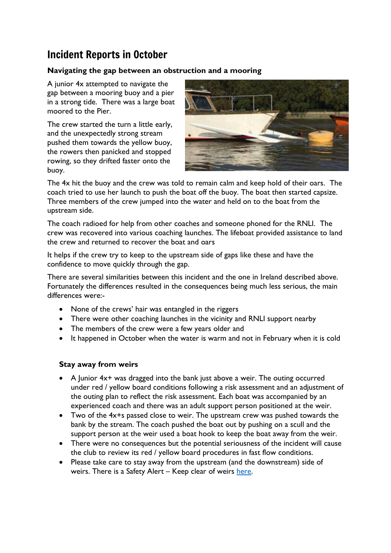## Incident Reports in October

#### **Navigating the gap between an obstruction and a mooring**

A junior 4x attempted to navigate the gap between a mooring buoy and a pier in a strong tide. There was a large boat moored to the Pier.

The crew started the turn a little early, and the unexpectedly strong stream pushed them towards the yellow buoy, the rowers then panicked and stopped rowing, so they drifted faster onto the buoy.



The 4x hit the buoy and the crew was told to remain calm and keep hold of their oars. The coach tried to use her launch to push the boat off the buoy. The boat then started capsize. Three members of the crew jumped into the water and held on to the boat from the upstream side.

The coach radioed for help from other coaches and someone phoned for the RNLI. The crew was recovered into various coaching launches. The lifeboat provided assistance to land the crew and returned to recover the boat and oars

It helps if the crew try to keep to the upstream side of gaps like these and have the confidence to move quickly through the gap.

There are several similarities between this incident and the one in Ireland described above. Fortunately the differences resulted in the consequences being much less serious, the main differences were:-

- None of the crews' hair was entangled in the riggers
- There were other coaching launches in the vicinity and RNLI support nearby
- The members of the crew were a few years older and
- It happened in October when the water is warm and not in February when it is cold

#### **Stay away from weirs**

- A Junior 4x+ was dragged into the bank just above a weir. The outing occurred under red / yellow board conditions following a risk assessment and an adjustment of the outing plan to reflect the risk assessment. Each boat was accompanied by an experienced coach and there was an adult support person positioned at the weir.
- Two of the 4x+s passed close to weir. The upstream crew was pushed towards the bank by the stream. The coach pushed the boat out by pushing on a scull and the support person at the weir used a boat hook to keep the boat away from the weir.
- There were no consequences but the potential seriousness of the incident will cause the club to review its red / yellow board procedures in fast flow conditions.
- Please take care to stay away from the upstream (and the downstream) side of weirs. There is a Safety Alert – Keep clear of weirs [here.](https://www.britishrowing.org/wp-content/uploads/2019/12/Safety-Alert-Keep-clear-of-Weirs-Dec-2019.pdf)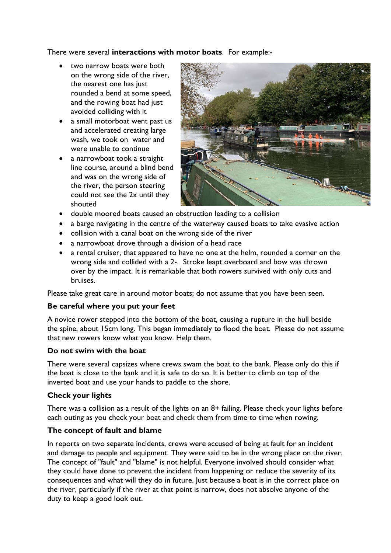There were several **interactions with motor boats**. For example:-

- two narrow boats were both on the wrong side of the river, the nearest one has just rounded a bend at some speed, and the rowing boat had just avoided colliding with it
- a small motorboat went past us and accelerated creating large wash, we took on water and were unable to continue
- a narrowboat took a straight line course, around a blind bend and was on the wrong side of the river, the person steering could not see the 2x until they shouted



- double moored boats caused an obstruction leading to a collision
- a barge navigating in the centre of the waterway caused boats to take evasive action
- collision with a canal boat on the wrong side of the river
- a narrowboat drove through a division of a head race
- a rental cruiser, that appeared to have no one at the helm, rounded a corner on the wrong side and collided with a 2-. Stroke leapt overboard and bow was thrown over by the impact. It is remarkable that both rowers survived with only cuts and bruises.

Please take great care in around motor boats; do not assume that you have been seen.

#### **Be careful where you put your feet**

A novice rower stepped into the bottom of the boat, causing a rupture in the hull beside the spine, about 15cm long. This began immediately to flood the boat. Please do not assume that new rowers know what you know. Help them.

#### **Do not swim with the boat**

There were several capsizes where crews swam the boat to the bank. Please only do this if the boat is close to the bank and it is safe to do so. It is better to climb on top of the inverted boat and use your hands to paddle to the shore.

#### **Check your lights**

There was a collision as a result of the lights on an 8+ failing. Please check your lights before each outing as you check your boat and check them from time to time when rowing.

#### **The concept of fault and blame**

In reports on two separate incidents, crews were accused of being at fault for an incident and damage to people and equipment. They were said to be in the wrong place on the river. The concept of "fault" and "blame" is not helpful. Everyone involved should consider what they could have done to prevent the incident from happening or reduce the severity of its consequences and what will they do in future. Just because a boat is in the correct place on the river, particularly if the river at that point is narrow, does not absolve anyone of the duty to keep a good look out.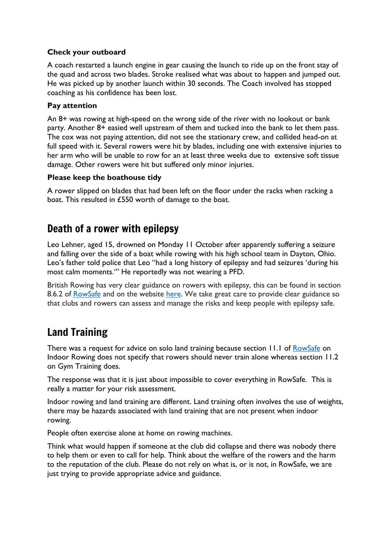#### **Check your outboard**

A coach restarted a launch engine in gear causing the launch to ride up on the front stay of the quad and across two blades. Stroke realised what was about to happen and jumped out. He was picked up by another launch within 30 seconds. The Coach involved has stopped coaching as his confidence has been lost.

#### **Pay attention**

An 8+ was rowing at high-speed on the wrong side of the river with no lookout or bank party. Another 8+ easied well upstream of them and tucked into the bank to let them pass. The cox was not paying attention, did not see the stationary crew, and collided head-on at full speed with it. Several rowers were hit by blades, including one with extensive injuries to her arm who will be unable to row for an at least three weeks due to extensive soft tissue damage. Other rowers were hit but suffered only minor injuries.

#### **Please keep the boathouse tidy**

A rower slipped on blades that had been left on the floor under the racks when racking a boat. This resulted in £550 worth of damage to the boat.

#### Death of a rower with epilepsy

Leo Lehner, aged 15, drowned on Monday 11 October after apparently suffering a seizure and falling over the side of a boat while rowing with his high school team in Dayton, Ohio. Leo's father told police that Leo "had a long history of epilepsy and had seizures 'during his most calm moments.'" He reportedly was not wearing a PFD.

British Rowing has very clear guidance on rowers with epilepsy, this can be found in section 8.6.2 of [RowSafe](https://www.britishrowing.org/wp-content/uploads/2021/04/2021-RowSafe.pdf) and on the website [here.](https://www.britishrowing.org/knowledge/safety/health-and-fitness/rowing-and-epilepsy/) We take great care to provide clear guidance so that clubs and rowers can assess and manage the risks and keep people with epilepsy safe.

### Land Training

There was a request for advice on solo land training because section 11.1 of [RowSafe](https://www.britishrowing.org/wp-content/uploads/2021/04/2021-RowSafe.pdf) on Indoor Rowing does not specify that rowers should never train alone whereas section 11.2 on Gym Training does.

The response was that it is just about impossible to cover everything in RowSafe. This is really a matter for your risk assessment.

Indoor rowing and land training are different. Land training often involves the use of weights, there may be hazards associated with land training that are not present when indoor rowing.

People often exercise alone at home on rowing machines.

Think what would happen if someone at the club did collapse and there was nobody there to help them or even to call for help. Think about the welfare of the rowers and the harm to the reputation of the club. Please do not rely on what is, or is not, in RowSafe, we are just trying to provide appropriate advice and guidance.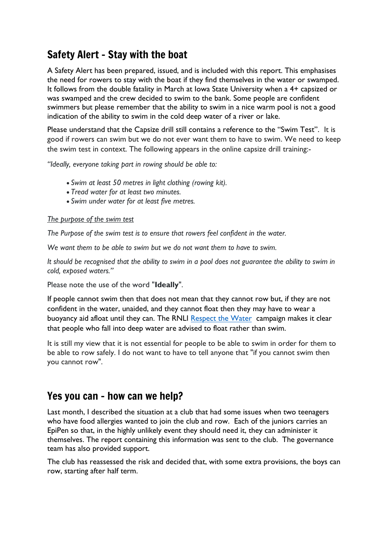## Safety Alert – Stay with the boat

A Safety Alert has been prepared, issued, and is included with this report. This emphasises the need for rowers to stay with the boat if they find themselves in the water or swamped. It follows from the double fatality in March at Iowa State University when a 4+ capsized or was swamped and the crew decided to swim to the bank. Some people are confident swimmers but please remember that the ability to swim in a nice warm pool is not a good indication of the ability to swim in the cold deep water of a river or lake.

Please understand that the Capsize drill still contains a reference to the "Swim Test". It is good if rowers can swim but we do not ever want them to have to swim. We need to keep the swim test in context. The following appears in the online capsize drill training:-

*"Ideally, everyone taking part in rowing should be able to:*

- *Swim at least 50 metres in light clothing (rowing kit).*
- *Tread water for at least two minutes.*
- *Swim under water for at least five metres.*

#### *The purpose of the swim test*

*The Purpose of the swim test is to ensure that rowers feel confident in the water.*

*We want them to be able to swim but we do not want them to have to swim.* 

*It should be recognised that the ability to swim in a pool does not guarantee the ability to swim in cold, exposed waters."*

Please note the use of the word "**Ideally**".

If people cannot swim then that does not mean that they cannot row but, if they are not confident in the water, unaided, and they cannot float then they may have to wear a buoyancy aid afloat until they can. The RNLI [Respect the Water](https://rnli.org/safety/respect-the-water) campaign makes it clear that people who fall into deep water are advised to float rather than swim.

It is still my view that it is not essential for people to be able to swim in order for them to be able to row safely. I do not want to have to tell anyone that "if you cannot swim then you cannot row".

#### Yes you can – how can we help?

Last month, I described the situation at a club that had some issues when two teenagers who have food allergies wanted to join the club and row. Each of the juniors carries an EpiPen so that, in the highly unlikely event they should need it, they can administer it themselves. The report containing this information was sent to the club. The governance team has also provided support.

The club has reassessed the risk and decided that, with some extra provisions, the boys can row, starting after half term.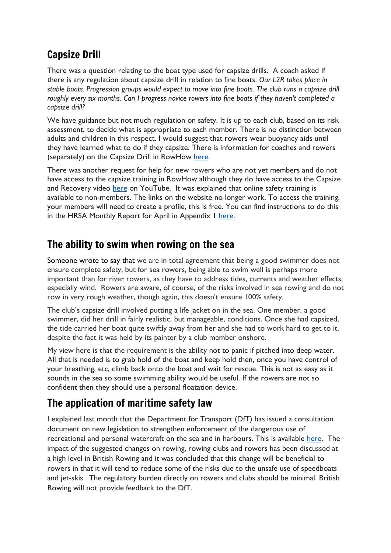## Capsize Drill

There was a question relating to the boat type used for capsize drills. A coach asked if there is any regulation about capsize drill in relation to fine boats. *Our L2R takes place in stable boats. Progression groups would expect to move into fine boats. The club runs a capsize drill roughly every six months. Can I progress novice rowers into fine boats if they haven't completed a capsize drill?*

We have guidance but not much regulation on safety. It is up to each club, based on its risk assessment, to decide what is appropriate to each member. There is no distinction between adults and children in this respect. I would suggest that rowers wear buoyancy aids until they have learned what to do if they capsize. There is information for coaches and rowers (separately) on the Capsize Drill in RowHow [here.](https://www.rowhow.org/course/view.php?id=195)

There was another request for help for new rowers who are not yet members and do not have access to the capsize training in RowHow although they do have access to the Capsize and Recovery video [here](https://www.youtube.com/watch?v=A6un3TkbQUQ) on YouTube. It was explained that online safety training is available to non-members. The links on the website no longer work. To access the training, your members will need to create a profile, this is free. You can find instructions to do this in the HRSA Monthly Report for April in Appendix 1 [here.](https://www.britishrowing.org/wp-content/uploads/2021/05/HRSA-Monthly-Report-April-2021.pdf)

## The ability to swim when rowing on the sea

Someone wrote to say that we are in total agreement that being a good swimmer does not ensure complete safety, but for sea rowers, being able to swim well is perhaps more important than for river rowers, as they have to address tides, currents and weather effects, especially wind. Rowers are aware, of course, of the risks involved in sea rowing and do not row in very rough weather, though again, this doesn't ensure 100% safety.

The club's capsize drill involved putting a life jacket on in the sea. One member, a good swimmer, did her drill in fairly realistic, but manageable, conditions. Once she had capsized, the tide carried her boat quite swiftly away from her and she had to work hard to get to it, despite the fact it was held by its painter by a club member onshore.

My view here is that the requirement is the ability not to panic if pitched into deep water. All that is needed is to grab hold of the boat and keep hold then, once you have control of your breathing, etc, climb back onto the boat and wait for rescue. This is not as easy as it sounds in the sea so some swimming ability would be useful. If the rowers are not so confident then they should use a personal floatation device.

## The application of maritime safety law

I explained last month that the Department for Transport (DfT) has issued a consultation document on new legislation to strengthen enforcement of the dangerous use of recreational and personal watercraft on the sea and in harbours. This is available [here.](http://www.gov.uk/government/consultations/strengthening-enforcement-of-the-dangerous-use-of-recreational-and-personal-watercraft) The impact of the suggested changes on rowing, rowing clubs and rowers has been discussed at a high level in British Rowing and it was concluded that this change will be beneficial to rowers in that it will tend to reduce some of the risks due to the unsafe use of speedboats and jet-skis. The regulatory burden directly on rowers and clubs should be minimal. British Rowing will not provide feedback to the DfT.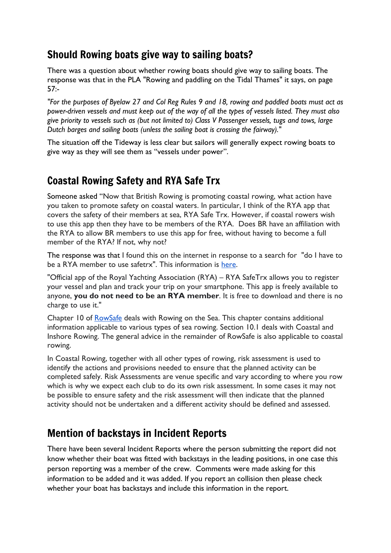## Should Rowing boats give way to sailing boats?

There was a question about whether rowing boats should give way to sailing boats. The response was that in the PLA "Rowing and paddling on the Tidal Thames" it says, on page 57:-

"For the purposes of Byelaw 27 and Col Reg Rules 9 and 18, rowing and paddled boats must act as power-driven vessels and must keep out of the way of all the types of vessels listed. They must also give priority to vessels such as (but not limited to) Class V Passenger vessels, tugs and tows, large *Dutch barges and sailing boats (unless the sailing boat is crossing the fairway)."*

The situation off the Tideway is less clear but sailors will generally expect rowing boats to give way as they will see them as "vessels under power".

## Coastal Rowing Safety and RYA Safe Trx

Someone asked "Now that British Rowing is promoting coastal rowing, what action have you taken to promote safety on coastal waters. In particular, I think of the RYA app that covers the safety of their members at sea, RYA Safe Trx. However, if coastal rowers wish to use this app then they have to be members of the RYA. Does BR have an affiliation with the RYA to allow BR members to use this app for free, without having to become a full member of the RYA? If not, why not?

The response was that I found this on the internet in response to a search for "do I have to be a RYA member to use safetrx". This information is [here.](https://apps.apple.com/gb/app/rya-safetrx/id881482157)

"Official app of the Royal Yachting Association (RYA) – RYA SafeTrx allows you to register your vessel and plan and track your trip on your smartphone. This app is freely available to anyone, **you do not need to be an RYA member**. It is free to download and there is no charge to use it."

Chapter 10 of [RowSafe](https://www.britishrowing.org/wp-content/uploads/2021/04/2021-RowSafe.pdf) deals with Rowing on the Sea. This chapter contains additional information applicable to various types of sea rowing. Section 10.1 deals with Coastal and Inshore Rowing. The general advice in the remainder of RowSafe is also applicable to coastal rowing.

In Coastal Rowing, together with all other types of rowing, risk assessment is used to identify the actions and provisions needed to ensure that the planned activity can be completed safely. Risk Assessments are venue specific and vary according to where you row which is why we expect each club to do its own risk assessment. In some cases it may not be possible to ensure safety and the risk assessment will then indicate that the planned activity should not be undertaken and a different activity should be defined and assessed.

## Mention of backstays in Incident Reports

There have been several Incident Reports where the person submitting the report did not know whether their boat was fitted with backstays in the leading positions, in one case this person reporting was a member of the crew. Comments were made asking for this information to be added and it was added. If you report an collision then please check whether your boat has backstays and include this information in the report.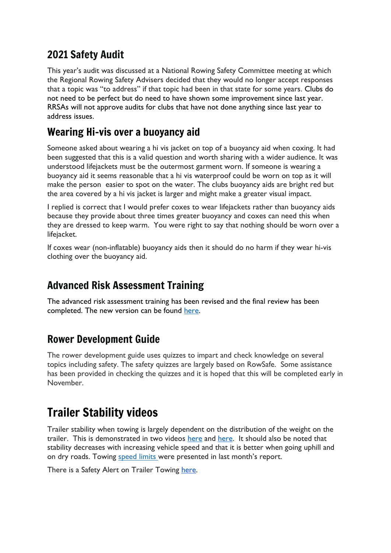## 2021 Safety Audit

This year's audit was discussed at a National Rowing Safety Committee meeting at which the Regional Rowing Safety Advisers decided that they would no longer accept responses that a topic was "to address" if that topic had been in that state for some years. Clubs do not need to be perfect but do need to have shown some improvement since last year. RRSAs will not approve audits for clubs that have not done anything since last year to address issues.

## Wearing Hi-vis over a buoyancy aid

Someone asked about wearing a hi vis jacket on top of a buoyancy aid when coxing. It had been suggested that this is a valid question and worth sharing with a wider audience. It was understood lifejackets must be the outermost garment worn. If someone is wearing a buoyancy aid it seems reasonable that a hi vis waterproof could be worn on top as it will make the person easier to spot on the water. The clubs buoyancy aids are bright red but the area covered by a hi vis jacket is larger and might make a greater visual impact.

I replied is correct that I would prefer coxes to wear lifejackets rather than buoyancy aids because they provide about three times greater buoyancy and coxes can need this when they are dressed to keep warm. You were right to say that nothing should be worn over a lifejacket.

If coxes wear (non-inflatable) buoyancy aids then it should do no harm if they wear hi-vis clothing over the buoyancy aid.

## Advanced Risk Assessment Training

The advanced risk assessment training has been revised and the final review has been completed. The new version can be found [here.](https://www.rowhow.org/course/view.php?id=201)

#### Rower Development Guide

The rower development guide uses quizzes to impart and check knowledge on several topics including safety. The safety quizzes are largely based on RowSafe. Some assistance has been provided in checking the quizzes and it is hoped that this will be completed early in November.

## Trailer Stability videos

Trailer stability when towing is largely dependent on the distribution of the weight on the trailer. This is demonstrated in two videos [here](https://www.youtube.com/watch?v=JeEEC5eVNCk) and [here.](https://www.youtube.com/watch?v=6mW_gzdh6to) It should also be noted that stability decreases with increasing vehicle speed and that it is better when going uphill and on dry roads. Towing [speed](https://www.gov.uk/speed-limits) limits were presented in last month's report.

There is a Safety Alert on Trailer Towing [here.](https://www.britishrowing.org/wp-content/uploads/2015/09/Safety-Alert-2014-Trailer-Towing.pdf)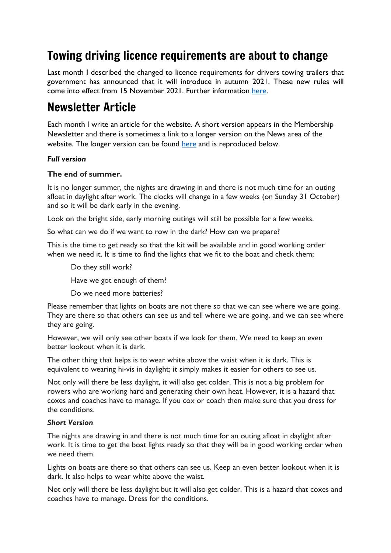## Towing driving licence requirements are about to change

Last month I described the changed to licence requirements for drivers towing trailers that government has announced that it will introduce in autumn 2021. These new rules will come into effect from 15 November 2021. Further information [here.](https://www.gov.uk/guidance/new-rules-for-towing-a-trailer-or-caravan-with-a-car-from-autumn-2021)

## Newsletter Article

Each month I write an article for the website. A short version appears in the Membership Newsletter and there is sometimes a link to a longer version on the News area of the website. The longer version can be found [here](https://www.britishrowing.org/2021/09/safety-capsize-training/) and is reproduced below.

#### *Full version*

#### **The end of summer.**

It is no longer summer, the nights are drawing in and there is not much time for an outing afloat in daylight after work. The clocks will change in a few weeks (on Sunday 31 October) and so it will be dark early in the evening.

Look on the bright side, early morning outings will still be possible for a few weeks.

So what can we do if we want to row in the dark? How can we prepare?

This is the time to get ready so that the kit will be available and in good working order when we need it. It is time to find the lights that we fit to the boat and check them;

Do they still work?

Have we got enough of them?

Do we need more batteries?

Please remember that lights on boats are not there so that we can see where we are going. They are there so that others can see us and tell where we are going, and we can see where they are going.

However, we will only see other boats if we look for them. We need to keep an even better lookout when it is dark.

The other thing that helps is to wear white above the waist when it is dark. This is equivalent to wearing hi-vis in daylight; it simply makes it easier for others to see us.

Not only will there be less daylight, it will also get colder. This is not a big problem for rowers who are working hard and generating their own heat. However, it is a hazard that coxes and coaches have to manage. If you cox or coach then make sure that you dress for the conditions.

#### *Short Version*

The nights are drawing in and there is not much time for an outing afloat in daylight after work. It is time to get the boat lights ready so that they will be in good working order when we need them.

Lights on boats are there so that others can see us. Keep an even better lookout when it is dark. It also helps to wear white above the waist.

Not only will there be less daylight but it will also get colder. This is a hazard that coxes and coaches have to manage. Dress for the conditions.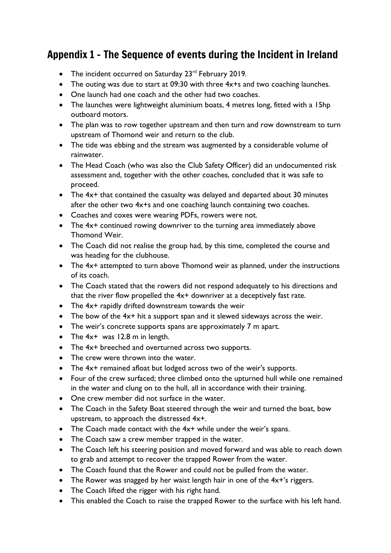## Appendix 1 – The Sequence of events during the Incident in Ireland

- The incident occurred on Saturday 23<sup>rd</sup> February 2019.
- The outing was due to start at 09:30 with three 4x+s and two coaching launches.
- One launch had one coach and the other had two coaches.
- The launches were lightweight aluminium boats, 4 metres long, fitted with a 15hp outboard motors.
- The plan was to row together upstream and then turn and row downstream to turn upstream of Thomond weir and return to the club.
- The tide was ebbing and the stream was augmented by a considerable volume of rainwater.
- The Head Coach (who was also the Club Safety Officer) did an undocumented risk assessment and, together with the other coaches, concluded that it was safe to proceed.
- The  $4x+$  that contained the casualty was delayed and departed about 30 minutes after the other two 4x+s and one coaching launch containing two coaches.
- Coaches and coxes were wearing PDFs, rowers were not.
- The 4x+ continued rowing downriver to the turning area immediately above Thomond Weir.
- The Coach did not realise the group had, by this time, completed the course and was heading for the clubhouse.
- The  $4x+$  attempted to turn above Thomond weir as planned, under the instructions of its coach.
- The Coach stated that the rowers did not respond adequately to his directions and that the river flow propelled the 4x+ downriver at a deceptively fast rate.
- The 4x+ rapidly drifted downstream towards the weir
- The bow of the 4x+ hit a support span and it slewed sideways across the weir.
- The weir's concrete supports spans are approximately 7 m apart.
- The  $4x+$  was 12.8 m in length.
- The 4x+ breeched and overturned across two supports.
- The crew were thrown into the water.
- The 4x+ remained afloat but lodged across two of the weir's supports.
- Four of the crew surfaced; three climbed onto the upturned hull while one remained in the water and clung on to the hull, all in accordance with their training.
- One crew member did not surface in the water.
- The Coach in the Safety Boat steered through the weir and turned the boat, bow upstream, to approach the distressed 4x+.
- The Coach made contact with the 4x<sup>+</sup> while under the weir's spans.
- The Coach saw a crew member trapped in the water.
- The Coach left his steering position and moved forward and was able to reach down to grab and attempt to recover the trapped Rower from the water.
- The Coach found that the Rower and could not be pulled from the water.
- The Rower was snagged by her waist length hair in one of the 4x+'s riggers.
- The Coach lifted the rigger with his right hand.
- This enabled the Coach to raise the trapped Rower to the surface with his left hand.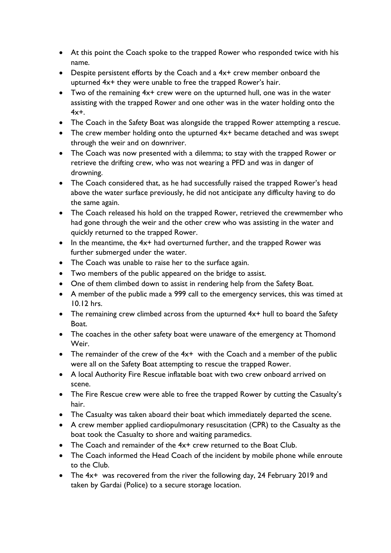- At this point the Coach spoke to the trapped Rower who responded twice with his name.
- Despite persistent efforts by the Coach and a 4x+ crew member onboard the upturned 4x+ they were unable to free the trapped Rower's hair.
- Two of the remaining 4x+ crew were on the upturned hull, one was in the water assisting with the trapped Rower and one other was in the water holding onto the  $4x +$ .
- The Coach in the Safety Boat was alongside the trapped Rower attempting a rescue.
- The crew member holding onto the upturned  $4x+$  became detached and was swept through the weir and on downriver.
- The Coach was now presented with a dilemma; to stay with the trapped Rower or retrieve the drifting crew, who was not wearing a PFD and was in danger of drowning.
- The Coach considered that, as he had successfully raised the trapped Rower's head above the water surface previously, he did not anticipate any difficulty having to do the same again.
- The Coach released his hold on the trapped Rower, retrieved the crewmember who had gone through the weir and the other crew who was assisting in the water and quickly returned to the trapped Rower.
- In the meantime, the 4x<sup>+</sup> had overturned further, and the trapped Rower was further submerged under the water.
- The Coach was unable to raise her to the surface again.
- Two members of the public appeared on the bridge to assist.
- One of them climbed down to assist in rendering help from the Safety Boat.
- A member of the public made a 999 call to the emergency services, this was timed at 10.12 hrs.
- The remaining crew climbed across from the upturned  $4x+$  hull to board the Safety Boat.
- The coaches in the other safety boat were unaware of the emergency at Thomond Weir.
- The remainder of the crew of the  $4x+$  with the Coach and a member of the public were all on the Safety Boat attempting to rescue the trapped Rower.
- A local Authority Fire Rescue inflatable boat with two crew onboard arrived on scene.
- The Fire Rescue crew were able to free the trapped Rower by cutting the Casualty's hair.
- The Casualty was taken aboard their boat which immediately departed the scene.
- A crew member applied cardiopulmonary resuscitation (CPR) to the Casualty as the boat took the Casualty to shore and waiting paramedics.
- The Coach and remainder of the 4x+ crew returned to the Boat Club.
- The Coach informed the Head Coach of the incident by mobile phone while enroute to the Club.
- The  $4x+$  was recovered from the river the following day, 24 February 2019 and taken by Gardai (Police) to a secure storage location.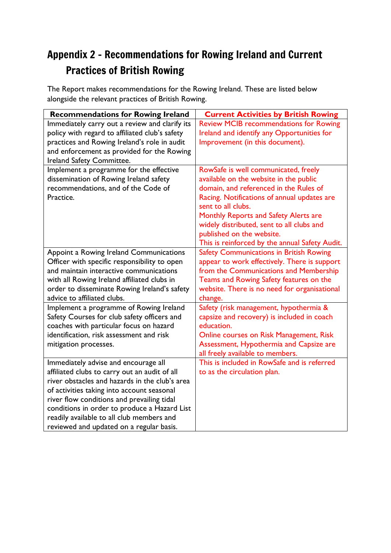## Appendix 2 – Recommendations for Rowing Ireland and Current Practices of British Rowing

The Report makes recommendations for the Rowing Ireland. These are listed below alongside the relevant practices of British Rowing.

| <b>Recommendations for Rowing Ireland</b>                                                                                                                                                                                                                                                                                                                                    | <b>Current Activities by British Rowing</b>                                                                                                                                                                                                                                                                                                                        |
|------------------------------------------------------------------------------------------------------------------------------------------------------------------------------------------------------------------------------------------------------------------------------------------------------------------------------------------------------------------------------|--------------------------------------------------------------------------------------------------------------------------------------------------------------------------------------------------------------------------------------------------------------------------------------------------------------------------------------------------------------------|
| Immediately carry out a review and clarify its<br>policy with regard to affiliated club's safety<br>practices and Rowing Ireland's role in audit<br>and enforcement as provided for the Rowing<br>Ireland Safety Committee.                                                                                                                                                  | <b>Review MCIB recommendations for Rowing</b><br>Ireland and identify any Opportunities for<br>Improvement (in this document).                                                                                                                                                                                                                                     |
| Implement a programme for the effective<br>dissemination of Rowing Ireland safety<br>recommendations, and of the Code of<br>Practice.                                                                                                                                                                                                                                        | RowSafe is well communicated, freely<br>available on the website in the public<br>domain, and referenced in the Rules of<br>Racing. Notifications of annual updates are<br>sent to all clubs.<br>Monthly Reports and Safety Alerts are<br>widely distributed, sent to all clubs and<br>published on the website.<br>This is reinforced by the annual Safety Audit. |
| Appoint a Rowing Ireland Communications<br>Officer with specific responsibility to open<br>and maintain interactive communications<br>with all Rowing Ireland affiliated clubs in<br>order to disseminate Rowing Ireland's safety<br>advice to affiliated clubs.                                                                                                             | <b>Safety Communications in British Rowing</b><br>appear to work effectively. There is support<br>from the Communications and Membership<br>Teams and Rowing Safety features on the<br>website. There is no need for organisational<br>change.                                                                                                                     |
| Implement a programme of Rowing Ireland<br>Safety Courses for club safety officers and<br>coaches with particular focus on hazard<br>identification, risk assessment and risk<br>mitigation processes.                                                                                                                                                                       | Safety (risk management, hypothermia &<br>capsize and recovery) is included in coach<br>education.<br>Online courses on Risk Management, Risk<br>Assessment, Hypothermia and Capsize are<br>all freely available to members.                                                                                                                                       |
| Immediately advise and encourage all<br>affiliated clubs to carry out an audit of all<br>river obstacles and hazards in the club's area<br>of activities taking into account seasonal<br>river flow conditions and prevailing tidal<br>conditions in order to produce a Hazard List<br>readily available to all club members and<br>reviewed and updated on a regular basis. | This is included in RowSafe and is referred<br>to as the circulation plan.                                                                                                                                                                                                                                                                                         |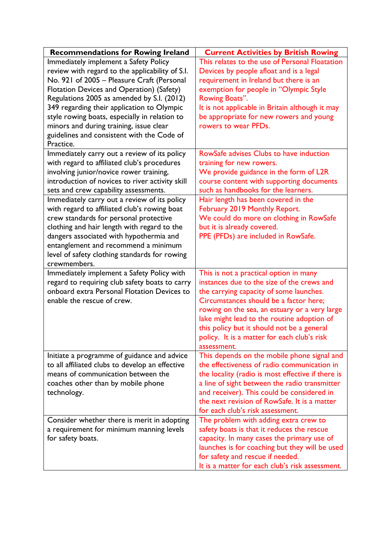| This relates to the use of Personal Floatation<br>Immediately implement a Safety Policy<br>review with regard to the applicability of S.I.<br>Devices by people afloat and is a legal<br>No. 921 of 2005 - Pleasure Craft (Personal<br>requirement in Ireland but there is an |
|-------------------------------------------------------------------------------------------------------------------------------------------------------------------------------------------------------------------------------------------------------------------------------|
|                                                                                                                                                                                                                                                                               |
|                                                                                                                                                                                                                                                                               |
|                                                                                                                                                                                                                                                                               |
| Flotation Devices and Operation) (Safety)<br>exemption for people in "Olympic Style                                                                                                                                                                                           |
| Regulations 2005 as amended by S.I. (2012)<br>Rowing Boats".                                                                                                                                                                                                                  |
| 349 regarding their application to Olympic<br>It is not applicable in Britain although it may                                                                                                                                                                                 |
| be appropriate for new rowers and young<br>style rowing boats, especially in relation to                                                                                                                                                                                      |
| minors and during training, issue clear<br>rowers to wear PFDs.                                                                                                                                                                                                               |
| guidelines and consistent with the Code of                                                                                                                                                                                                                                    |
| Practice.                                                                                                                                                                                                                                                                     |
| RowSafe advises Clubs to have induction<br>Immediately carry out a review of its policy                                                                                                                                                                                       |
| with regard to affiliated club's procedures<br>training for new rowers.                                                                                                                                                                                                       |
| involving junior/novice rower training,<br>We provide guidance in the form of L2R                                                                                                                                                                                             |
| introduction of novices to river activity skill<br>course content with supporting documents                                                                                                                                                                                   |
| such as handbooks for the learners.<br>sets and crew capability assessments.                                                                                                                                                                                                  |
| Immediately carry out a review of its policy<br>Hair length has been covered in the                                                                                                                                                                                           |
| with regard to affiliated club's rowing boat<br>February 2019 Monthly Report.                                                                                                                                                                                                 |
| We could do more on clothing in RowSafe<br>crew standards for personal protective                                                                                                                                                                                             |
| clothing and hair length with regard to the<br>but it is already covered.                                                                                                                                                                                                     |
| dangers associated with hypothermia and<br>PPE (PFDs) are included in RowSafe.                                                                                                                                                                                                |
| entanglement and recommend a minimum                                                                                                                                                                                                                                          |
| level of safety clothing standards for rowing                                                                                                                                                                                                                                 |
| crewmembers.                                                                                                                                                                                                                                                                  |
| Immediately implement a Safety Policy with<br>This is not a practical option in many                                                                                                                                                                                          |
| regard to requiring club safety boats to carry<br>instances due to the size of the crews and                                                                                                                                                                                  |
| onboard extra Personal Flotation Devices to<br>the carrying capacity of some launches.                                                                                                                                                                                        |
| Circumstances should be a factor here;<br>enable the rescue of crew.                                                                                                                                                                                                          |
| rowing on the sea, an estuary or a very large                                                                                                                                                                                                                                 |
| lake might lead to the routine adoption of<br>this policy but it should not be a general                                                                                                                                                                                      |
|                                                                                                                                                                                                                                                                               |
| policy. It is a matter for each club's risk<br>assessment.                                                                                                                                                                                                                    |
| Initiate a programme of guidance and advice<br>This depends on the mobile phone signal and                                                                                                                                                                                    |
| to all affiliated clubs to develop an effective<br>the effectiveness of radio communication in                                                                                                                                                                                |
| means of communication between the<br>the locality (radio is most effective if there is                                                                                                                                                                                       |
| a line of sight between the radio transmitter<br>coaches other than by mobile phone                                                                                                                                                                                           |
| and receiver). This could be considered in<br>technology.                                                                                                                                                                                                                     |
| the next revision of RowSafe. It is a matter                                                                                                                                                                                                                                  |
| for each club's risk assessment.                                                                                                                                                                                                                                              |
| Consider whether there is merit in adopting<br>The problem with adding extra crew to                                                                                                                                                                                          |
| safety boats is that it reduces the rescue<br>a requirement for minimum manning levels                                                                                                                                                                                        |
| for safety boats.<br>capacity. In many cases the primary use of                                                                                                                                                                                                               |
| launches is for coaching but they will be used                                                                                                                                                                                                                                |
| for safety and rescue if needed.                                                                                                                                                                                                                                              |
| It is a matter for each club's risk assessment.                                                                                                                                                                                                                               |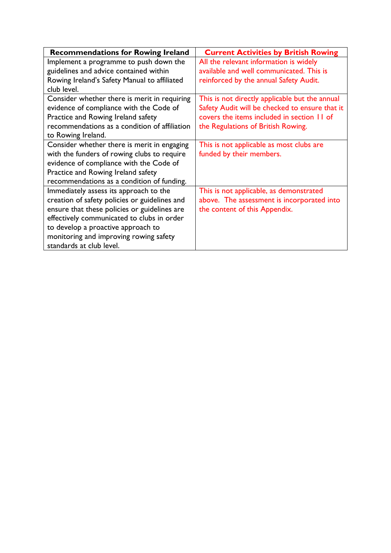| <b>Recommendations for Rowing Ireland</b>     | <b>Current Activities by British Rowing</b>    |
|-----------------------------------------------|------------------------------------------------|
| Implement a programme to push down the        | All the relevant information is widely         |
| guidelines and advice contained within        | available and well communicated. This is       |
| Rowing Ireland's Safety Manual to affiliated  | reinforced by the annual Safety Audit.         |
| club level.                                   |                                                |
| Consider whether there is merit in requiring  | This is not directly applicable but the annual |
| evidence of compliance with the Code of       | Safety Audit will be checked to ensure that it |
| Practice and Rowing Ireland safety            | covers the items included in section 11 of     |
| recommendations as a condition of affiliation | the Regulations of British Rowing.             |
| to Rowing Ireland.                            |                                                |
| Consider whether there is merit in engaging   | This is not applicable as most clubs are       |
| with the funders of rowing clubs to require   | funded by their members.                       |
| evidence of compliance with the Code of       |                                                |
| Practice and Rowing Ireland safety            |                                                |
| recommendations as a condition of funding.    |                                                |
| Immediately assess its approach to the        | This is not applicable, as demonstrated        |
| creation of safety policies or guidelines and | above. The assessment is incorporated into     |
| ensure that these policies or guidelines are  | the content of this Appendix.                  |
| effectively communicated to clubs in order    |                                                |
| to develop a proactive approach to            |                                                |
| monitoring and improving rowing safety        |                                                |
| standards at club level.                      |                                                |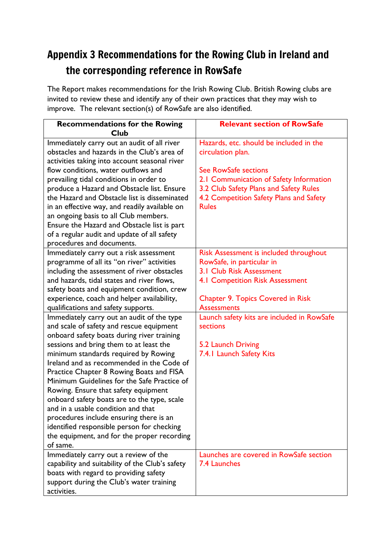## Appendix 3 Recommendations for the Rowing Club in Ireland and the corresponding reference in RowSafe

The Report makes recommendations for the Irish Rowing Club. British Rowing clubs are invited to review these and identify any of their own practices that they may wish to improve. The relevant section(s) of RowSafe are also identified.

| <b>Recommendations for the Rowing</b>               | <b>Relevant section of RowSafe</b>         |
|-----------------------------------------------------|--------------------------------------------|
| Club<br>Immediately carry out an audit of all river | Hazards, etc. should be included in the    |
| obstacles and hazards in the Club's area of         | circulation plan.                          |
| activities taking into account seasonal river       |                                            |
| flow conditions, water outflows and                 | See RowSafe sections                       |
| prevailing tidal conditions in order to             | 2.1 Communication of Safety Information    |
| produce a Hazard and Obstacle list. Ensure          | 3.2 Club Safety Plans and Safety Rules     |
| the Hazard and Obstacle list is disseminated        | 4.2 Competition Safety Plans and Safety    |
| in an effective way, and readily available on       | <b>Rules</b>                               |
| an ongoing basis to all Club members.               |                                            |
| Ensure the Hazard and Obstacle list is part         |                                            |
| of a regular audit and update of all safety         |                                            |
| procedures and documents.                           |                                            |
| Immediately carry out a risk assessment             | Risk Assessment is included throughout     |
| programme of all its "on river" activities          | RowSafe, in particular in                  |
| including the assessment of river obstacles         | <b>3.1 Club Risk Assessment</b>            |
| and hazards, tidal states and river flows,          | <b>4.1 Competition Risk Assessment</b>     |
| safety boats and equipment condition, crew          |                                            |
| experience, coach and helper availability,          | <b>Chapter 9. Topics Covered in Risk</b>   |
| qualifications and safety supports.                 | <b>Assessments</b>                         |
| Immediately carry out an audit of the type          | Launch safety kits are included in RowSafe |
| and scale of safety and rescue equipment            | sections                                   |
| onboard safety boats during river training          |                                            |
| sessions and bring them to at least the             | 5.2 Launch Driving                         |
| minimum standards required by Rowing                | 7.4.1 Launch Safety Kits                   |
| Ireland and as recommended in the Code of           |                                            |
| Practice Chapter 8 Rowing Boats and FISA            |                                            |
| Minimum Guidelines for the Safe Practice of         |                                            |
| Rowing. Ensure that safety equipment                |                                            |
| onboard safety boats are to the type, scale         |                                            |
| and in a usable condition and that                  |                                            |
| procedures include ensuring there is an             |                                            |
| identified responsible person for checking          |                                            |
| the equipment, and for the proper recording         |                                            |
| of same.                                            |                                            |
| Immediately carry out a review of the               | Launches are covered in RowSafe section    |
| capability and suitability of the Club's safety     | 7.4 Launches                               |
| boats with regard to providing safety               |                                            |
| support during the Club's water training            |                                            |
| activities.                                         |                                            |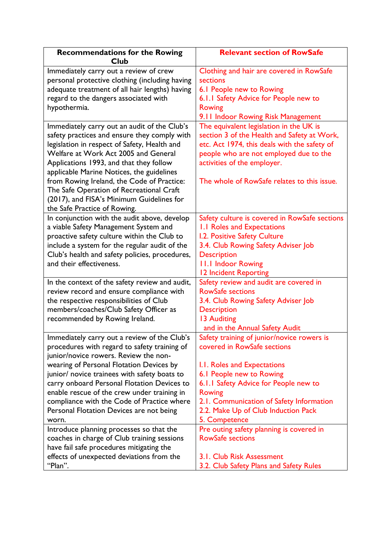| <b>Recommendations for the Rowing</b><br><b>Club</b>                                   | <b>Relevant section of RowSafe</b>                                              |
|----------------------------------------------------------------------------------------|---------------------------------------------------------------------------------|
| Immediately carry out a review of crew                                                 | Clothing and hair are covered in RowSafe<br>sections                            |
| personal protective clothing (including having                                         |                                                                                 |
| adequate treatment of all hair lengths) having                                         | 6.1 People new to Rowing                                                        |
| regard to the dangers associated with<br>hypothermia.                                  | 6.1.1 Safety Advice for People new to<br><b>Rowing</b>                          |
|                                                                                        | 9.11 Indoor Rowing Risk Management                                              |
| Immediately carry out an audit of the Club's                                           | The equivalent legislation in the UK is                                         |
| safety practices and ensure they comply with                                           | section 3 of the Health and Safety at Work,                                     |
| legislation in respect of Safety, Health and                                           | etc. Act 1974, this deals with the safety of                                    |
| Welfare at Work Act 2005 and General                                                   | people who are not employed due to the                                          |
| Applications 1993, and that they follow                                                | activities of the employer.                                                     |
| applicable Marine Notices, the guidelines                                              |                                                                                 |
| from Rowing Ireland, the Code of Practice:                                             | The whole of RowSafe relates to this issue.                                     |
| The Safe Operation of Recreational Craft                                               |                                                                                 |
| (2017), and FISA's Minimum Guidelines for                                              |                                                                                 |
| the Safe Practice of Rowing.<br>In conjunction with the audit above, develop           | Safety culture is covered in RowSafe sections                                   |
| a viable Safety Management System and                                                  | 1.1 Roles and Expectations                                                      |
| proactive safety culture within the Club to                                            | I.2. Positive Safety Culture                                                    |
| include a system for the regular audit of the                                          | 3.4. Club Rowing Safety Adviser Job                                             |
| Club's health and safety policies, procedures,                                         | <b>Description</b>                                                              |
| and their effectiveness.                                                               | 11.1 Indoor Rowing                                                              |
|                                                                                        | 12 Incident Reporting                                                           |
| In the context of the safety review and audit,                                         | Safety review and audit are covered in                                          |
| review record and ensure compliance with                                               | <b>RowSafe sections</b>                                                         |
| the respective responsibilities of Club                                                | 3.4. Club Rowing Safety Adviser Job                                             |
| members/coaches/Club Safety Officer as                                                 | <b>Description</b>                                                              |
| recommended by Rowing Ireland.                                                         | 13 Auditing                                                                     |
|                                                                                        | and in the Annual Safety Audit                                                  |
| Immediately carry out a review of the Club's                                           | Safety training of junior/novice rowers is                                      |
| procedures with regard to safety training of                                           | covered in RowSafe sections                                                     |
| junior/novice rowers. Review the non-                                                  |                                                                                 |
| wearing of Personal Flotation Devices by                                               | I.I. Roles and Expectations                                                     |
| junior/ novice trainees with safety boats to                                           | 6.1 People new to Rowing                                                        |
| carry onboard Personal Flotation Devices to                                            | 6.1.1 Safety Advice for People new to<br><b>Rowing</b>                          |
| enable rescue of the crew under training in                                            |                                                                                 |
| compliance with the Code of Practice where<br>Personal Flotation Devices are not being | 2.1. Communication of Safety Information<br>2.2. Make Up of Club Induction Pack |
| worn.                                                                                  | 5. Competence                                                                   |
| Introduce planning processes so that the                                               | Pre outing safety planning is covered in                                        |
| coaches in charge of Club training sessions                                            | <b>RowSafe sections</b>                                                         |
| have fail safe procedures mitigating the                                               |                                                                                 |
| effects of unexpected deviations from the                                              | 3.1. Club Risk Assessment                                                       |
| "Plan".                                                                                | 3.2. Club Safety Plans and Safety Rules                                         |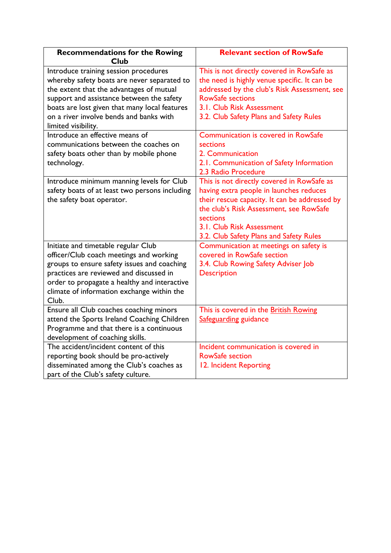| <b>Recommendations for the Rowing</b><br><b>Club</b>                                                                                                                                                                                                                                                                                                                                                                                   | <b>Relevant section of RowSafe</b>                                                                                                                                                                                                                                                                                                                                      |
|----------------------------------------------------------------------------------------------------------------------------------------------------------------------------------------------------------------------------------------------------------------------------------------------------------------------------------------------------------------------------------------------------------------------------------------|-------------------------------------------------------------------------------------------------------------------------------------------------------------------------------------------------------------------------------------------------------------------------------------------------------------------------------------------------------------------------|
| Introduce training session procedures<br>whereby safety boats are never separated to<br>the extent that the advantages of mutual<br>support and assistance between the safety<br>boats are lost given that many local features<br>on a river involve bends and banks with<br>limited visibility.<br>Introduce an effective means of<br>communications between the coaches on<br>safety boats other than by mobile phone<br>technology. | This is not directly covered in RowSafe as<br>the need is highly venue specific. It can be<br>addressed by the club's Risk Assessment, see<br><b>RowSafe sections</b><br>3.1. Club Risk Assessment<br>3.2. Club Safety Plans and Safety Rules<br>Communication is covered in RowSafe<br><b>sections</b><br>2. Communication<br>2.1. Communication of Safety Information |
| Introduce minimum manning levels for Club<br>safety boats of at least two persons including<br>the safety boat operator.                                                                                                                                                                                                                                                                                                               | 2.3 Radio Procedure<br>This is not directly covered in RowSafe as<br>having extra people in launches reduces<br>their rescue capacity. It can be addressed by<br>the club's Risk Assessment, see RowSafe<br>sections                                                                                                                                                    |
| Initiate and timetable regular Club                                                                                                                                                                                                                                                                                                                                                                                                    | 3.1. Club Risk Assessment<br>3.2. Club Safety Plans and Safety Rules<br>Communication at meetings on safety is                                                                                                                                                                                                                                                          |
| officer/Club coach meetings and working<br>groups to ensure safety issues and coaching<br>practices are reviewed and discussed in<br>order to propagate a healthy and interactive<br>climate of information exchange within the<br>Club.                                                                                                                                                                                               | covered in RowSafe section<br>3.4. Club Rowing Safety Adviser Job<br><b>Description</b>                                                                                                                                                                                                                                                                                 |
| Ensure all Club coaches coaching minors<br>attend the Sports Ireland Coaching Children<br>Programme and that there is a continuous<br>development of coaching skills.                                                                                                                                                                                                                                                                  | This is covered in the British Rowing<br>Safeguarding guidance                                                                                                                                                                                                                                                                                                          |
| The accident/incident content of this<br>reporting book should be pro-actively<br>disseminated among the Club's coaches as<br>part of the Club's safety culture.                                                                                                                                                                                                                                                                       | Incident communication is covered in<br><b>RowSafe section</b><br>12. Incident Reporting                                                                                                                                                                                                                                                                                |